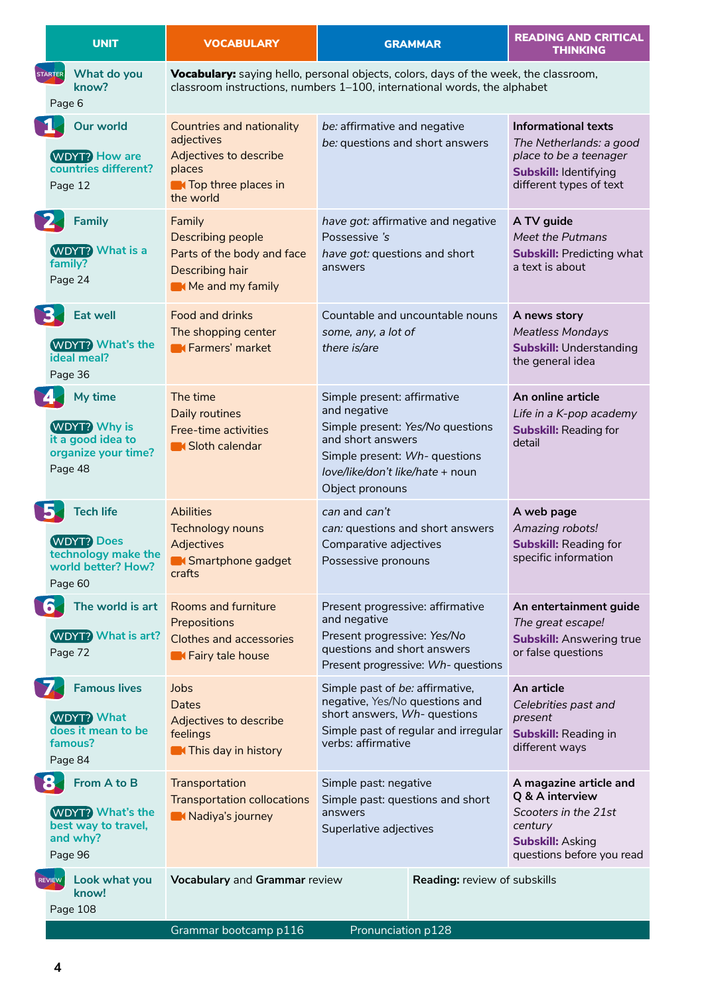| <b>STARTER</b><br>ĎĻ |                                                                                               |                                                                                                                          |                                                                                                                                                                                              |                                                                                                                                            |
|----------------------|-----------------------------------------------------------------------------------------------|--------------------------------------------------------------------------------------------------------------------------|----------------------------------------------------------------------------------------------------------------------------------------------------------------------------------------------|--------------------------------------------------------------------------------------------------------------------------------------------|
|                      | What do you<br>know?                                                                          |                                                                                                                          | Vocabulary: saying hello, personal objects, colors, days of the week, the classroom,<br>classroom instructions, numbers 1-100, international words, the alphabet                             |                                                                                                                                            |
|                      | Page 6                                                                                        |                                                                                                                          |                                                                                                                                                                                              |                                                                                                                                            |
|                      | Our world<br><b>WDYT? How are</b><br>countries different?<br>Page 12                          | Countries and nationality<br>adjectives<br>Adjectives to describe<br>places<br><b>N</b> Top three places in<br>the world | be: affirmative and negative<br>be: questions and short answers                                                                                                                              | <b>Informational texts</b><br>The Netherlands: a good<br>place to be a teenager<br><b>Subskill: Identifying</b><br>different types of text |
| 7                    | <b>Family</b><br><b>WDYT?</b> What is a<br>family?<br>Page 24                                 | Family<br>Describing people<br>Parts of the body and face<br>Describing hair<br>Me and my family                         | have got: affirmative and negative<br>Possessive 's<br>have got: questions and short<br>answers                                                                                              | A TV guide<br>Meet the Putmans<br><b>Subskill: Predicting what</b><br>a text is about                                                      |
| 3.                   | <b>Eat well</b><br><b>WDYT?</b> What's the<br>ideal meal?<br>Page 36                          | Food and drinks<br>The shopping center<br><b>K</b> Farmers' market                                                       | Countable and uncountable nouns<br>some, any, a lot of<br>there is/are                                                                                                                       | A news story<br><b>Meatless Mondays</b><br><b>Subskill: Understanding</b><br>the general idea                                              |
|                      | My time<br><b>WDYT?</b> Why is<br>it a good idea to<br>organize your time?<br>Page 48         | The time<br>Daily routines<br>Free-time activities<br><b>K</b> Sloth calendar                                            | Simple present: affirmative<br>and negative<br>Simple present: Yes/No questions<br>and short answers<br>Simple present: Wh- questions<br>love/like/don't like/hate + noun<br>Object pronouns | An online article<br>Life in a K-pop academy<br><b>Subskill: Reading for</b><br>detail                                                     |
| 15.                  | <b>Tech life</b><br><b>WDYT?</b> Does<br>technology make the<br>world better? How?<br>Page 60 | <b>Abilities</b><br>Technology nouns<br>Adjectives<br>Smartphone gadget<br>crafts                                        | can and can't<br>can: questions and short answers<br>Comparative adjectives<br>Possessive pronouns                                                                                           | A web page<br>Amazing robots!<br><b>Subskill: Reading for</b><br>specific information                                                      |
| <b>6.</b>            | The world is art<br><b>WDYT?</b> What is art?<br>Page 72                                      | <b>Rooms and furniture</b><br>Prepositions<br><b>Clothes and accessories</b><br><b>Exercise Fairy tale house</b>         | Present progressive: affirmative<br>and negative<br>Present progressive: Yes/No<br>questions and short answers<br>Present progressive: Wh- questions                                         | An entertainment guide<br>The great escape!<br><b>Subskill: Answering true</b><br>or false questions                                       |
| 7                    | <b>Famous lives</b><br><b>WDYT?</b> What<br>does it mean to be<br>famous?<br>Page 84          | Jobs<br>Dates<br>Adjectives to describe<br>feelings<br><b>N</b> This day in history                                      | Simple past of be: affirmative,<br>negative, Yes/No questions and<br>short answers, Wh- questions<br>Simple past of regular and irregular<br>verbs: affirmative                              | An article<br>Celebrities past and<br>present<br>Subskill: Reading in<br>different ways                                                    |
| $\bullet$            | From A to B<br><b>WDYT?</b> What's the<br>best way to travel,<br>and why?<br>Page 96          | Transportation<br>Transportation collocations<br>Madiya's journey                                                        | Simple past: negative<br>Simple past: questions and short<br>answers<br>Superlative adjectives                                                                                               | A magazine article and<br>Q & A interview<br>Scooters in the 21st<br>century<br><b>Subskill: Asking</b><br>questions before you read       |
| <b>REVIEW</b>        | Look what you<br>know!<br>Page 108                                                            | Vocabulary and Grammar review<br>Grammar bootcamp p116                                                                   | Reading: review of subskills<br>Pronunciation p128                                                                                                                                           |                                                                                                                                            |